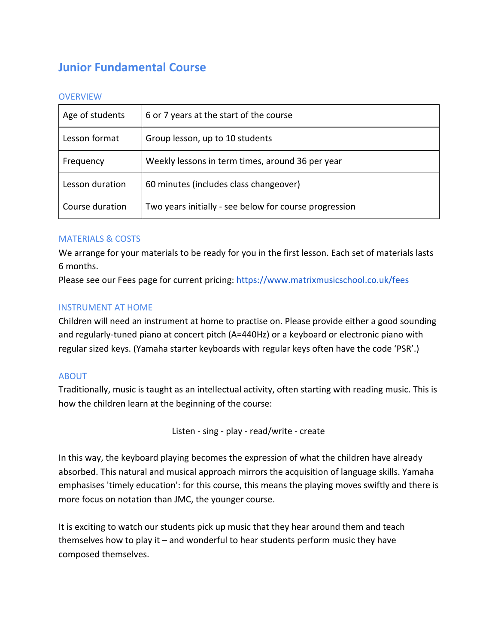# **Junior Fundamental Course**

#### **OVERVIEW**

| Age of students | 6 or 7 years at the start of the course                |
|-----------------|--------------------------------------------------------|
| Lesson format   | Group lesson, up to 10 students                        |
| Frequency       | Weekly lessons in term times, around 36 per year       |
| Lesson duration | 60 minutes (includes class changeover)                 |
| Course duration | Two years initially - see below for course progression |

#### MATERIALS & COSTS

We arrange for your materials to be ready for you in the first lesson. Each set of materials lasts 6 months.

Please see our Fees page for current pricing: <https://www.matrixmusicschool.co.uk/fees>

#### INSTRUMENT AT HOME

Children will need an instrument at home to practise on. Please provide either a good sounding and regularly-tuned piano at concert pitch (A=440Hz) or a keyboard or electronic piano with regular sized keys. (Yamaha starter keyboards with regular keys often have the code 'PSR'.)

#### ABOUT

Traditionally, music is taught as an intellectual activity, often starting with reading music. This is how the children learn at the beginning of the course:

Listen - sing - play - read/write - create

In this way, the keyboard playing becomes the expression of what the children have already absorbed. This natural and musical approach mirrors the acquisition of language skills. Yamaha emphasises 'timely education': for this course, this means the playing moves swiftly and there is more focus on notation than JMC, the younger course.

It is exciting to watch our students pick up music that they hear around them and teach themselves how to play it – and wonderful to hear students perform music they have composed themselves.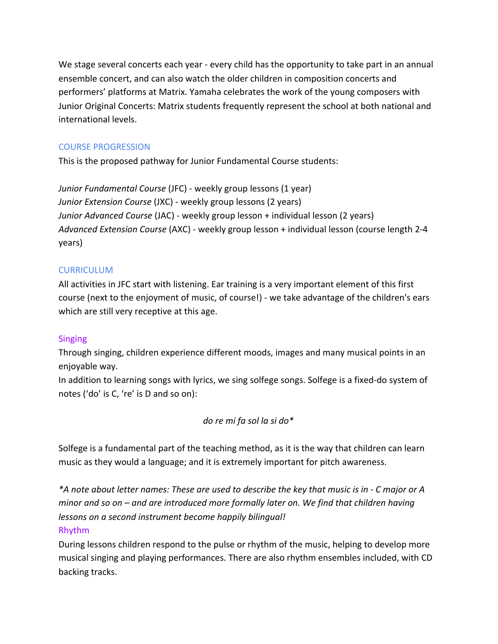We stage several concerts each year - every child has the opportunity to take part in an annual ensemble concert, and can also watch the older children in composition concerts and performers' platforms at Matrix. Yamaha celebrates the work of the young composers with Junior Original Concerts: Matrix students frequently represent the school at both national and international levels.

# COURSE PROGRESSION

This is the proposed pathway for Junior Fundamental Course students:

*Junior Fundamental Course* (JFC) - weekly group lessons (1 year) *Junior Extension Course* (JXC) - weekly group lessons (2 years) *Junior Advanced Course* (JAC) - weekly group lesson + individual lesson (2 years) *Advanced Extension Course* (AXC) - weekly group lesson + individual lesson (course length 2-4 years)

# **CURRICULUM**

All activities in JFC start with listening. Ear training is a very important element of this first course (next to the enjoyment of music, of course!) - we take advantage of the children's ears which are still very receptive at this age.

## Singing

Through singing, children experience different moods, images and many musical points in an enjoyable way.

In addition to learning songs with lyrics, we sing solfege songs. Solfege is a fixed-do system of notes ('do' is C, 're' is D and so on):

## *do re mi fa sol la si do\**

Solfege is a fundamental part of the teaching method, as it is the way that children can learn music as they would a language; and it is extremely important for pitch awareness.

*\*A note about letter names: These are used to describe the key that music is in - C major or A minor and so on – and are introduced more formally later on. We find that children having lessons on a second instrument become happily bilingual!* Rhythm

During lessons children respond to the pulse or rhythm of the music, helping to develop more musical singing and playing performances. There are also rhythm ensembles included, with CD backing tracks.